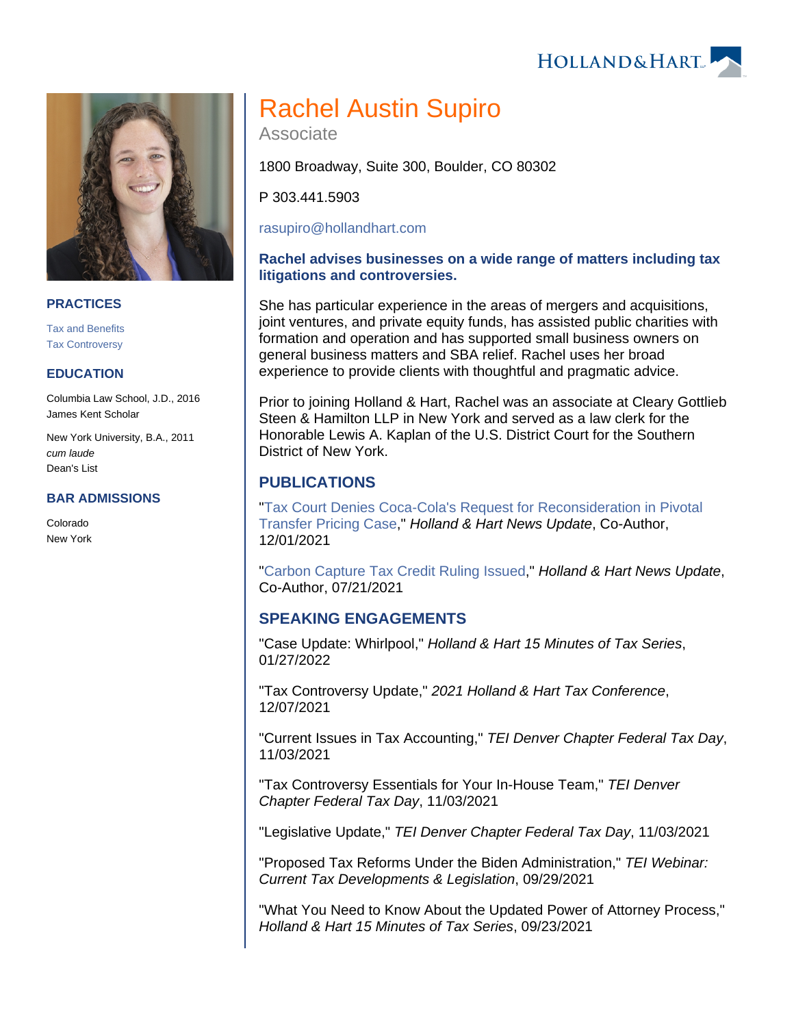



#### **PRACTICES**

[Tax and Benefits](https://www.hollandhart.com/19755) [Tax Controversy](https://www.hollandhart.com/33124)

### **EDUCATION**

Columbia Law School, J.D., 2016 James Kent Scholar

New York University, B.A., 2011 cum laude Dean's List

#### **BAR ADMISSIONS**

Colorado New York

# Rachel Austin Supiro

Associate

1800 Broadway, Suite 300, Boulder, CO 80302

P 303.441.5903

[rasupiro@hollandhart.com](mailto:rasupiro@hollandhart.com) 

## **Rachel advises businesses on a wide range of matters including tax litigations and controversies.**

She has particular experience in the areas of mergers and acquisitions, joint ventures, and private equity funds, has assisted public charities with formation and operation and has supported small business owners on general business matters and SBA relief. Rachel uses her broad experience to provide clients with thoughtful and pragmatic advice.

Prior to joining Holland & Hart, Rachel was an associate at Cleary Gottlieb Steen & Hamilton LLP in New York and served as a law clerk for the Honorable Lewis A. Kaplan of the U.S. District Court for the Southern District of New York.

# **PUBLICATIONS**

"[Tax Court Denies Coca-Cola's Request for Reconsideration in Pivotal](https://www.hollandhart.com/41625)  [Transfer Pricing Case](https://www.hollandhart.com/41625)," Holland & Hart News Update, Co-Author, 12/01/2021

"[Carbon Capture Tax Credit Ruling Issued](https://www.hollandhart.com/39779)," Holland & Hart News Update, Co-Author, 07/21/2021

## **SPEAKING ENGAGEMENTS**

"Case Update: Whirlpool," Holland & Hart 15 Minutes of Tax Series, 01/27/2022

"Tax Controversy Update," 2021 Holland & Hart Tax Conference, 12/07/2021

"Current Issues in Tax Accounting," TEI Denver Chapter Federal Tax Day, 11/03/2021

"Tax Controversy Essentials for Your In-House Team," TEI Denver Chapter Federal Tax Day, 11/03/2021

"Legislative Update," TEI Denver Chapter Federal Tax Day, 11/03/2021

"Proposed Tax Reforms Under the Biden Administration," TEI Webinar: Current Tax Developments & Legislation, 09/29/2021

"What You Need to Know About the Updated Power of Attorney Process," Holland & Hart 15 Minutes of Tax Series, 09/23/2021